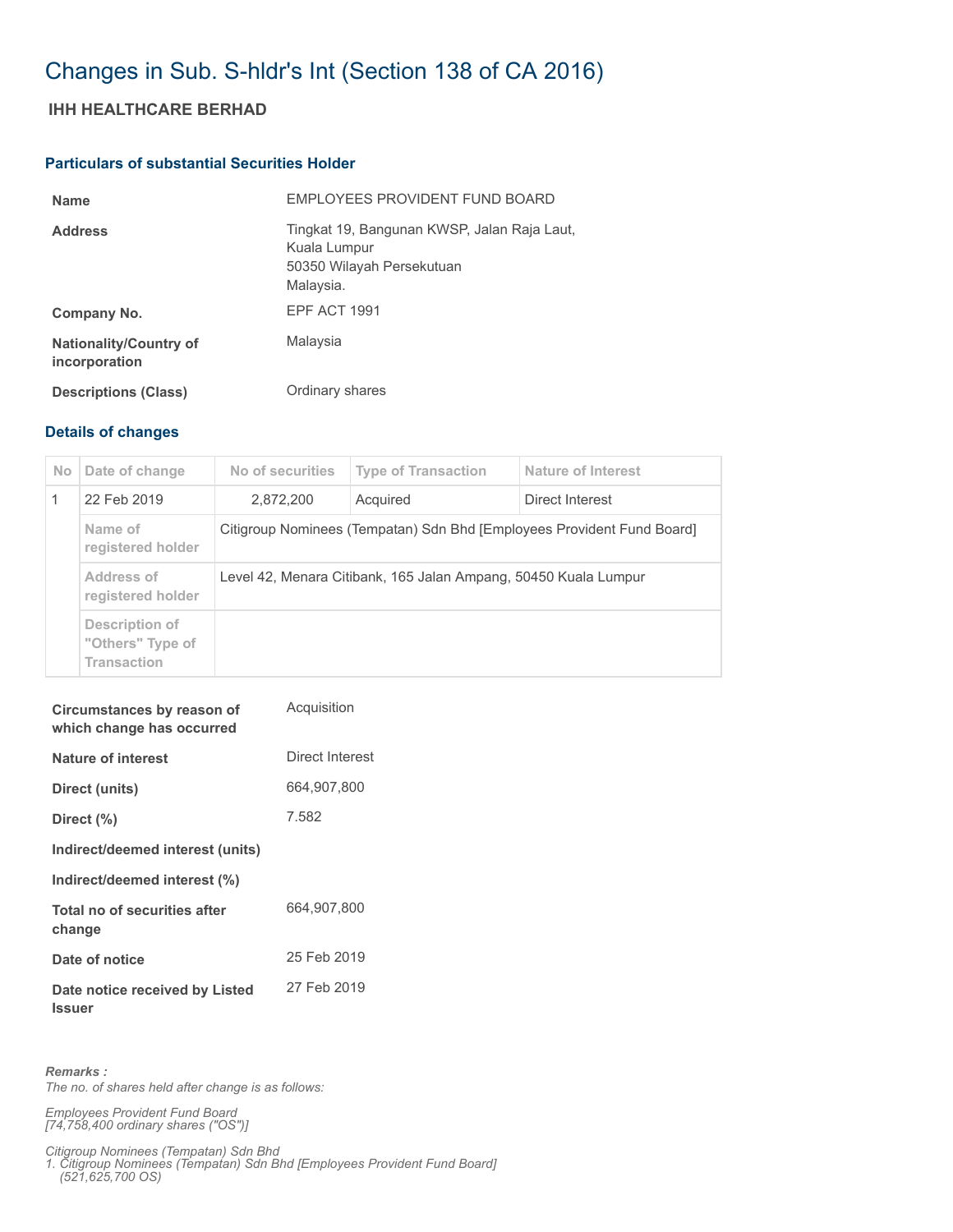## Changes in Sub. S-hldr's Int (Section 138 of CA 2016)

## **IHH HEALTHCARE BERHAD**

## **Particulars of substantial Securities Holder**

| <b>Name</b>                                    | EMPLOYEES PROVIDENT FUND BOARD                                                                        |
|------------------------------------------------|-------------------------------------------------------------------------------------------------------|
| <b>Address</b>                                 | Tingkat 19, Bangunan KWSP, Jalan Raja Laut,<br>Kuala Lumpur<br>50350 Wilayah Persekutuan<br>Malaysia. |
| Company No.                                    | <b>EPF ACT 1991</b>                                                                                   |
| <b>Nationality/Country of</b><br>incorporation | Malaysia                                                                                              |
| <b>Descriptions (Class)</b>                    | Ordinary shares                                                                                       |

## **Details of changes**

| <b>No</b> | Date of change                                           | No of securities                                                       | <b>Type of Transaction</b> | Nature of Interest |  |
|-----------|----------------------------------------------------------|------------------------------------------------------------------------|----------------------------|--------------------|--|
|           | 22 Feb 2019                                              | 2,872,200                                                              | Acquired                   | Direct Interest    |  |
|           | Name of<br>registered holder                             | Citigroup Nominees (Tempatan) Sdn Bhd [Employees Provident Fund Board] |                            |                    |  |
|           | Address of<br>registered holder                          | Level 42, Menara Citibank, 165 Jalan Ampang, 50450 Kuala Lumpur        |                            |                    |  |
|           | Description of<br>"Others" Type of<br><b>Transaction</b> |                                                                        |                            |                    |  |

| Circumstances by reason of<br>which change has occurred | Acquisition     |
|---------------------------------------------------------|-----------------|
| Nature of interest                                      | Direct Interest |
| Direct (units)                                          | 664,907,800     |
| Direct (%)                                              | 7.582           |
| Indirect/deemed interest (units)                        |                 |
| Indirect/deemed interest (%)                            |                 |
| Total no of securities after<br>change                  | 664,907,800     |
| Date of notice                                          | 25 Feb 2019     |
| Date notice received by Listed<br><b>Issuer</b>         | 27 Feb 2019     |

*Remarks : The no. of shares held after change is as follows:*

*Employees Provident Fund Board [74,758,400 ordinary shares ("OS")]*

*Citigroup Nominees (Tempatan) Sdn Bhd* 

*1. Citigroup Nominees (Tempatan) Sdn Bhd [Employees Provident Fund Board] (521,625,700 OS)*